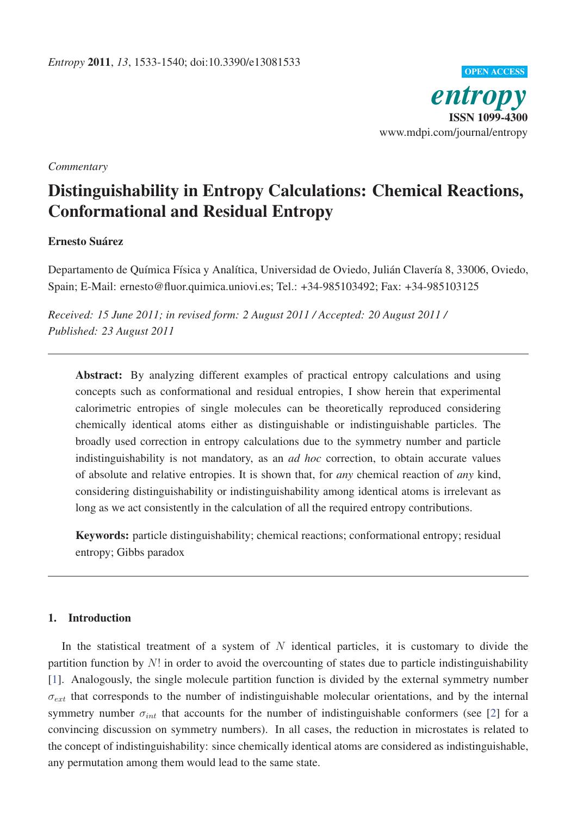

## *Commentary*

# Distinguishability in Entropy Calculations: Chemical Reactions, Conformational and Residual Entropy

# Ernesto Suárez

Departamento de Química Física y Analítica, Universidad de Oviedo, Julián Clavería 8, 33006, Oviedo, Spain; E-Mail: ernesto@fluor.quimica.uniovi.es; Tel.: +34-985103492; Fax: +34-985103125

*Received: 15 June 2011; in revised form: 2 August 2011 / Accepted: 20 August 2011 / Published: 23 August 2011*

Abstract: By analyzing different examples of practical entropy calculations and using concepts such as conformational and residual entropies, I show herein that experimental calorimetric entropies of single molecules can be theoretically reproduced considering chemically identical atoms either as distinguishable or indistinguishable particles. The broadly used correction in entropy calculations due to the symmetry number and particle indistinguishability is not mandatory, as an *ad hoc* correction, to obtain accurate values of absolute and relative entropies. It is shown that, for *any* chemical reaction of *any* kind, considering distinguishability or indistinguishability among identical atoms is irrelevant as long as we act consistently in the calculation of all the required entropy contributions.

Keywords: particle distinguishability; chemical reactions; conformational entropy; residual entropy; Gibbs paradox

# 1. Introduction

In the statistical treatment of a system of  $N$  identical particles, it is customary to divide the partition function by  $N!$  in order to avoid the overcounting of states due to particle indistinguishability [1]. Analogously, the single molecule partition function is divided by the external symmetry number  $\sigma_{ext}$  that corresponds to the number of indistinguishable molecular orientations, and by the internal symmetry number  $\sigma_{int}$  that accounts for the number of indistinguishable conformers (see [2] for a convincing discussion on symmetry numbers). In all cases, the reduction in microstates is related to the concept of indistinguishability: since chemically identical atoms are considered as indistinguishable, any permutation among them would lead to the same state.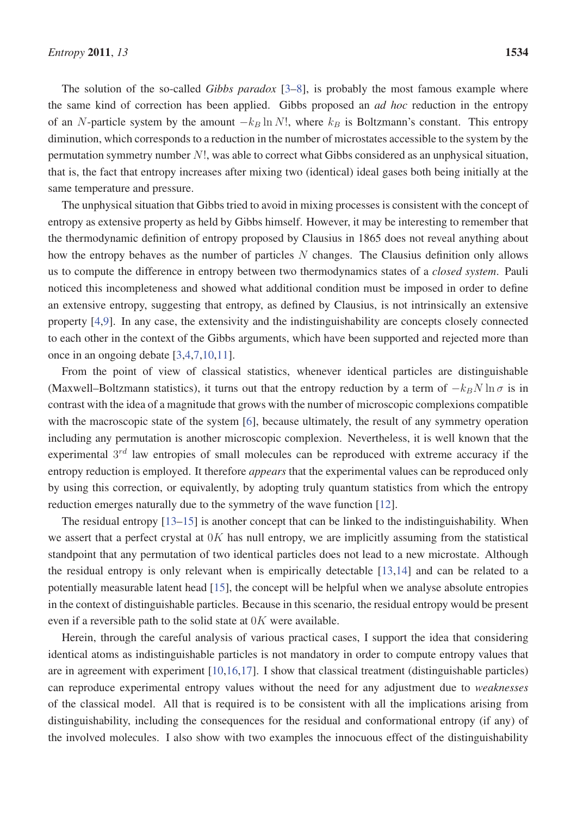The solution of the so-called *Gibbs paradox* [3–8], is probably the most famous example where the same kind of correction has been applied. Gibbs proposed an *ad hoc* reduction in the entropy of an N-particle system by the amount  $-k_B \ln N!$ , where  $k_B$  is Boltzmann's constant. This entropy diminution, which corresponds to a reduction in the number of microstates accessible to the system by the permutation symmetry number N!, was able to correct what Gibbs considered as an unphysical situation, that is, the fact that entropy increases after mixing two (identical) ideal gases both being initially at the same temperature and pressure.

The unphysical situation that Gibbs tried to avoid in mixing processes is consistent with the concept of entropy as extensive property as held by Gibbs himself. However, it may be interesting to remember that the thermodynamic definition of entropy proposed by Clausius in 1865 does not reveal anything about how the entropy behaves as the number of particles N changes. The Clausius definition only allows us to compute the difference in entropy between two thermodynamics states of a *closed system*. Pauli noticed this incompleteness and showed what additional condition must be imposed in order to define an extensive entropy, suggesting that entropy, as defined by Clausius, is not intrinsically an extensive property [4,9]. In any case, the extensivity and the indistinguishability are concepts closely connected to each other in the context of the Gibbs arguments, which have been supported and rejected more than once in an ongoing debate [3,4,7,10,11].

From the point of view of classical statistics, whenever identical particles are distinguishable (Maxwell–Boltzmann statistics), it turns out that the entropy reduction by a term of  $-k_BN \ln \sigma$  is in contrast with the idea of a magnitude that grows with the number of microscopic complexions compatible with the macroscopic state of the system [6], because ultimately, the result of any symmetry operation including any permutation is another microscopic complexion. Nevertheless, it is well known that the experimental  $3<sup>rd</sup>$  law entropies of small molecules can be reproduced with extreme accuracy if the entropy reduction is employed. It therefore *appears* that the experimental values can be reproduced only by using this correction, or equivalently, by adopting truly quantum statistics from which the entropy reduction emerges naturally due to the symmetry of the wave function [12].

The residual entropy [13–15] is another concept that can be linked to the indistinguishability. When we assert that a perfect crystal at  $0K$  has null entropy, we are implicitly assuming from the statistical standpoint that any permutation of two identical particles does not lead to a new microstate. Although the residual entropy is only relevant when is empirically detectable [13,14] and can be related to a potentially measurable latent head [15], the concept will be helpful when we analyse absolute entropies in the context of distinguishable particles. Because in this scenario, the residual entropy would be present even if a reversible path to the solid state at  $0K$  were available.

Herein, through the careful analysis of various practical cases, I support the idea that considering identical atoms as indistinguishable particles is not mandatory in order to compute entropy values that are in agreement with experiment [10,16,17]. I show that classical treatment (distinguishable particles) can reproduce experimental entropy values without the need for any adjustment due to *weaknesses* of the classical model. All that is required is to be consistent with all the implications arising from distinguishability, including the consequences for the residual and conformational entropy (if any) of the involved molecules. I also show with two examples the innocuous effect of the distinguishability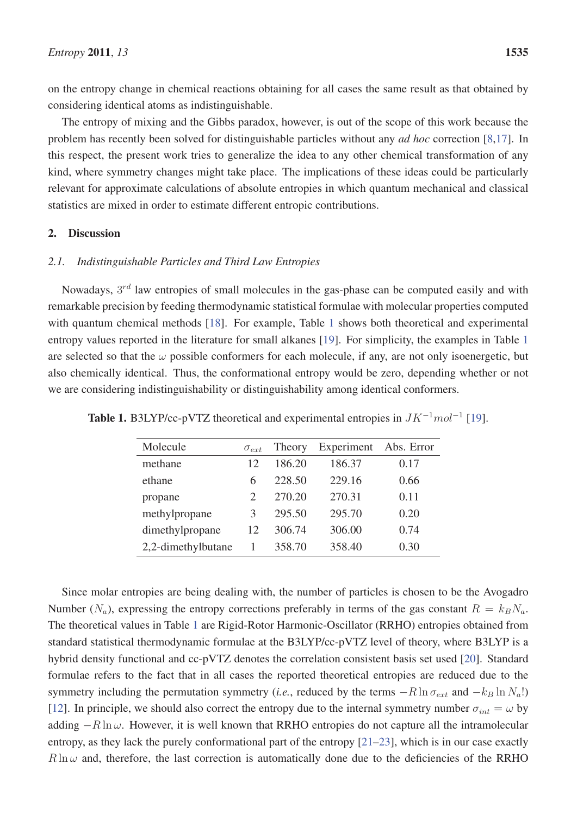on the entropy change in chemical reactions obtaining for all cases the same result as that obtained by considering identical atoms as indistinguishable.

The entropy of mixing and the Gibbs paradox, however, is out of the scope of this work because the problem has recently been solved for distinguishable particles without any *ad hoc* correction [8,17]. In this respect, the present work tries to generalize the idea to any other chemical transformation of any kind, where symmetry changes might take place. The implications of these ideas could be particularly relevant for approximate calculations of absolute entropies in which quantum mechanical and classical statistics are mixed in order to estimate different entropic contributions.

# 2. Discussion

# *2.1. Indistinguishable Particles and Third Law Entropies*

Nowadays,  $3^{rd}$  law entropies of small molecules in the gas-phase can be computed easily and with remarkable precision by feeding thermodynamic statistical formulae with molecular properties computed with quantum chemical methods [18]. For example, Table 1 shows both theoretical and experimental entropy values reported in the literature for small alkanes [19]. For simplicity, the examples in Table 1 are selected so that the  $\omega$  possible conformers for each molecule, if any, are not only isoenergetic, but also chemically identical. Thus, the conformational entropy would be zero, depending whether or not we are considering indistinguishability or distinguishability among identical conformers.

| Molecule           | $\sigma_{ext}$                | Theory | Experiment | Abs. Error |
|--------------------|-------------------------------|--------|------------|------------|
| methane            | 12                            | 186.20 | 186.37     | 0.17       |
| ethane             | 6                             | 228.50 | 229.16     | 0.66       |
| propane            | $\mathfrak{D}_{\mathfrak{p}}$ | 270.20 | 270.31     | 0.11       |
| methylpropane      | 3                             | 295.50 | 295.70     | 0.20       |
| dimethylpropane    | 12                            | 306.74 | 306.00     | 0.74       |
| 2,2-dimethylbutane | 1                             | 358.70 | 358.40     | 0.30       |

Table 1. B3LYP/cc-pVTZ theoretical and experimental entropies in  $JK^{-1}mol^{-1}$  [19].

Since molar entropies are being dealing with, the number of particles is chosen to be the Avogadro Number  $(N_a)$ , expressing the entropy corrections preferably in terms of the gas constant  $R = k_B N_a$ . The theoretical values in Table 1 are Rigid-Rotor Harmonic-Oscillator (RRHO) entropies obtained from standard statistical thermodynamic formulae at the B3LYP/cc-pVTZ level of theory, where B3LYP is a hybrid density functional and cc-pVTZ denotes the correlation consistent basis set used [20]. Standard formulae refers to the fact that in all cases the reported theoretical entropies are reduced due to the symmetry including the permutation symmetry (*i.e.*, reduced by the terms  $-R \ln \sigma_{ext}$  and  $-k_B \ln N_a!)$ [12]. In principle, we should also correct the entropy due to the internal symmetry number  $\sigma_{int} = \omega$  by adding  $-R \ln \omega$ . However, it is well known that RRHO entropies do not capture all the intramolecular entropy, as they lack the purely conformational part of the entropy [21–23], which is in our case exactly  $R \ln \omega$  and, therefore, the last correction is automatically done due to the deficiencies of the RRHO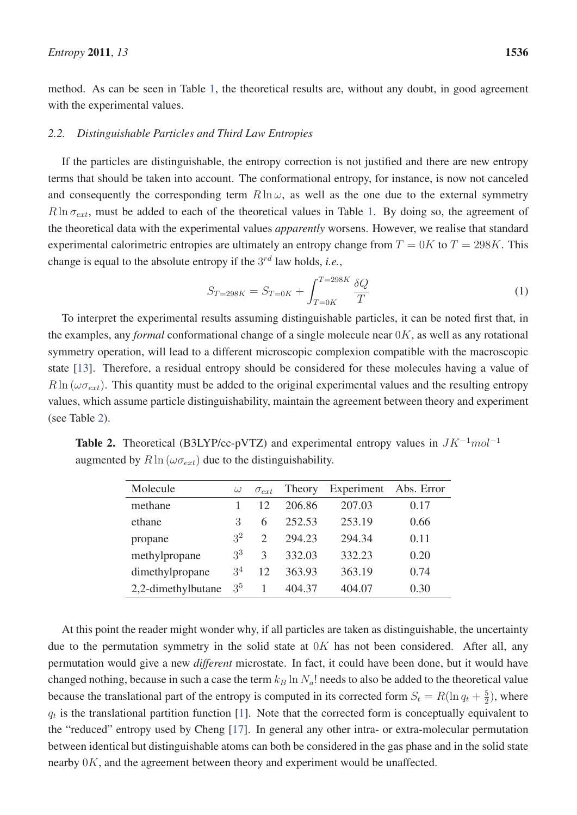method. As can be seen in Table 1, the theoretical results are, without any doubt, in good agreement with the experimental values.

## *2.2. Distinguishable Particles and Third Law Entropies*

If the particles are distinguishable, the entropy correction is not justified and there are new entropy terms that should be taken into account. The conformational entropy, for instance, is now not canceled and consequently the corresponding term  $R \ln \omega$ , as well as the one due to the external symmetry  $R \ln \sigma_{ext}$ , must be added to each of the theoretical values in Table 1. By doing so, the agreement of the theoretical data with the experimental values *apparently* worsens. However, we realise that standard experimental calorimetric entropies are ultimately an entropy change from  $T = 0K$  to  $T = 298K$ . This change is equal to the absolute entropy if the  $3^{rd}$  law holds, *i.e.*,

$$
S_{T=298K} = S_{T=0K} + \int_{T=0K}^{T=298K} \frac{\delta Q}{T}
$$
 (1)

To interpret the experimental results assuming distinguishable particles, it can be noted first that, in the examples, any *formal* conformational change of a single molecule near 0K, as well as any rotational symmetry operation, will lead to a different microscopic complexion compatible with the macroscopic state [13]. Therefore, a residual entropy should be considered for these molecules having a value of  $R \ln(\omega \sigma_{ext})$ . This quantity must be added to the original experimental values and the resulting entropy values, which assume particle distinguishability, maintain the agreement between theory and experiment (see Table 2).

| Molecule           | $\omega$       | $\sigma_{ext}$              | Theory | Experiment | Abs. Error |
|--------------------|----------------|-----------------------------|--------|------------|------------|
| methane            |                | 12                          | 206.86 | 207.03     | 0.17       |
| ethane             | 3              | 6                           | 252.53 | 253.19     | 0.66       |
| propane            | 3 <sup>2</sup> | $\mathcal{D}_{\mathcal{L}}$ | 294.23 | 294.34     | 0.11       |
| methylpropane      | 3 <sup>3</sup> | $\mathcal{R}$               | 332.03 | 332.23     | 0.20       |
| dimethylpropane    | 3 <sup>4</sup> | 12                          | 363.93 | 363.19     | 0.74       |
| 2,2-dimethylbutane | 3 <sup>5</sup> |                             | 404.37 | 404.07     | 0.30       |

Table 2. Theoretical (B3LYP/cc-pVTZ) and experimental entropy values in  $JK^{-1}mol^{-1}$ augmented by  $R \ln (\omega \sigma_{ext})$  due to the distinguishability.

At this point the reader might wonder why, if all particles are taken as distinguishable, the uncertainty due to the permutation symmetry in the solid state at  $0K$  has not been considered. After all, any permutation would give a new *different* microstate. In fact, it could have been done, but it would have changed nothing, because in such a case the term  $k_B$  ln  $N_a$ ! needs to also be added to the theoretical value because the translational part of the entropy is computed in its corrected form  $S_t = R(\ln q_t + \frac{5}{2})$ , where  $q_t$  is the translational partition function [1]. Note that the corrected form is conceptually equivalent to the "reduced" entropy used by Cheng [17]. In general any other intra- or extra-molecular permutation between identical but distinguishable atoms can both be considered in the gas phase and in the solid state nearby 0K, and the agreement between theory and experiment would be unaffected.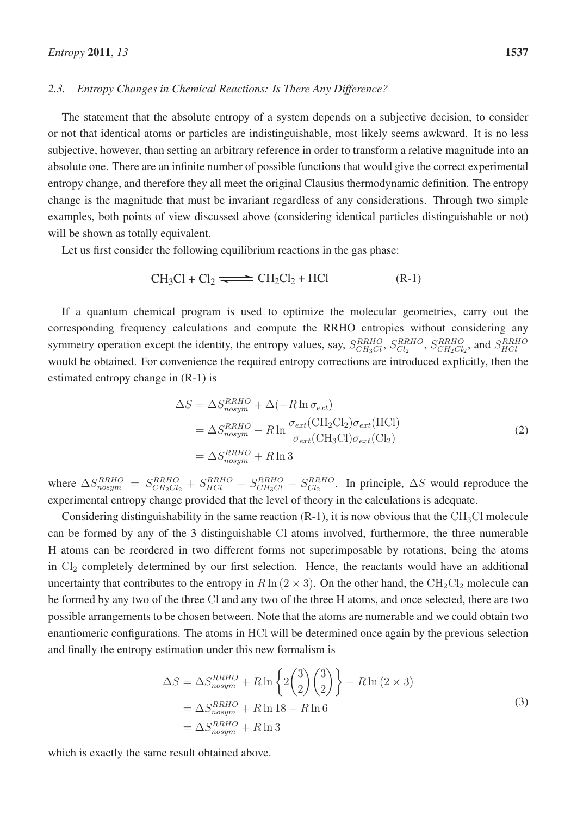#### *2.3. Entropy Changes in Chemical Reactions: Is There Any Difference?*

The statement that the absolute entropy of a system depends on a subjective decision, to consider or not that identical atoms or particles are indistinguishable, most likely seems awkward. It is no less subjective, however, than setting an arbitrary reference in order to transform a relative magnitude into an absolute one. There are an infinite number of possible functions that would give the correct experimental entropy change, and therefore they all meet the original Clausius thermodynamic definition. The entropy change is the magnitude that must be invariant regardless of any considerations. Through two simple examples, both points of view discussed above (considering identical particles distinguishable or not) will be shown as totally equivalent.

Let us first consider the following equilibrium reactions in the gas phase:

$$
CH_3Cl + Cl_2 \longrightarrow CH_2Cl_2 + HCl \tag{R-1}
$$

If a quantum chemical program is used to optimize the molecular geometries, carry out the corresponding frequency calculations and compute the RRHO entropies without considering any symmetry operation except the identity, the entropy values, say,  $S_{CH_3Cl}^{RRHO}$ ,  $S_{Cl_2}^{RRHO}$ ,  $S_{CH_2Cl_2}^{RRHO}$ , and  $S_{HCl}^{RRHO}$ would be obtained. For convenience the required entropy corrections are introduced explicitly, then the estimated entropy change in (R-1) is

$$
\Delta S = \Delta S_{nosym}^{RRHO} + \Delta(-R \ln \sigma_{ext})
$$
  
= 
$$
\Delta S_{nosym}^{RRHO} - R \ln \frac{\sigma_{ext}(CH_2Cl_2)\sigma_{ext}(HCl)}{\sigma_{ext}(CH_3Cl)\sigma_{ext}(Cl_2)}
$$
  
= 
$$
\Delta S_{nosym}^{RRHO} + R \ln 3
$$
 (2)

where  $\Delta S_{nosym}^{RRHO} = S_{CH_2Cl_2}^{RRHO} + S_{HCl}^{RRHO} - S_{CH_3Cl}^{RRHO} - S_{Cl_2}^{RRHO}$ . In principle,  $\Delta S$  would reproduce the experimental entropy change provided that the level of theory in the calculations is adequate.

Considering distinguishability in the same reaction  $(R-1)$ , it is now obvious that the CH<sub>3</sub>Cl molecule can be formed by any of the 3 distinguishable Cl atoms involved, furthermore, the three numerable H atoms can be reordered in two different forms not superimposable by rotations, being the atoms in  $Cl_2$  completely determined by our first selection. Hence, the reactants would have an additional uncertainty that contributes to the entropy in  $R \ln (2 \times 3)$ . On the other hand, the CH<sub>2</sub>Cl<sub>2</sub> molecule can be formed by any two of the three Cl and any two of the three H atoms, and once selected, there are two possible arrangements to be chosen between. Note that the atoms are numerable and we could obtain two enantiomeric configurations. The atoms in HCl will be determined once again by the previous selection and finally the entropy estimation under this new formalism is

$$
\Delta S = \Delta S_{nosym}^{RRHO} + R \ln \left\{ 2 \binom{3}{2} \binom{3}{2} \right\} - R \ln (2 \times 3)
$$
  
=  $\Delta S_{nosym}^{RRHO} + R \ln 18 - R \ln 6$   
=  $\Delta S_{nosym}^{RRHO} + R \ln 3$  (3)

which is exactly the same result obtained above.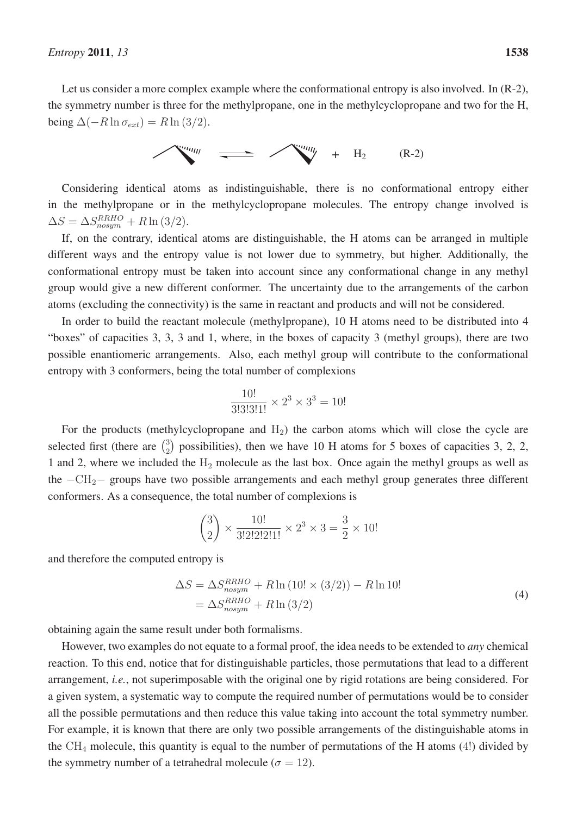Let us consider a more complex example where the conformational entropy is also involved. In  $(R-2)$ , the symmetry number is three for the methylpropane, one in the methylcyclopropane and two for the H, being  $\Delta(-R \ln \sigma_{ext}) = R \ln (3/2)$ .



Considering identical atoms as indistinguishable, there is no conformational entropy either in the methylpropane or in the methylcyclopropane molecules. The entropy change involved is  $\Delta S = \Delta S_{nosum}^{RRHO} + R \ln{(3/2)}.$ 

If, on the contrary, identical atoms are distinguishable, the H atoms can be arranged in multiple different ways and the entropy value is not lower due to symmetry, but higher. Additionally, the conformational entropy must be taken into account since any conformational change in any methyl group would give a new different conformer. The uncertainty due to the arrangements of the carbon atoms (excluding the connectivity) is the same in reactant and products and will not be considered.

In order to build the reactant molecule (methylpropane), 10 H atoms need to be distributed into 4 "boxes" of capacities 3, 3, 3 and 1, where, in the boxes of capacity 3 (methyl groups), there are two possible enantiomeric arrangements. Also, each methyl group will contribute to the conformational entropy with 3 conformers, being the total number of complexions

$$
\frac{10!}{3!3!3!1!} \times 2^3 \times 3^3 = 10!
$$

For the products (methylcyclopropane and  $H_2$ ) the carbon atoms which will close the cycle are selected first (there are  $\binom{3}{2}$  possibilities), then we have 10 H atoms for 5 boxes of capacities 3, 2, 2, 1 and 2, where we included the  $H_2$  molecule as the last box. Once again the methyl groups as well as the  $-\text{CH}_2$ – groups have two possible arrangements and each methyl group generates three different conformers. As a consequence, the total number of complexions is

$$
\binom{3}{2} \times \frac{10!}{3!2!2!2!1!} \times 2^3 \times 3 = \frac{3}{2} \times 10!
$$

and therefore the computed entropy is

$$
\Delta S = \Delta S_{nosym}^{RRHO} + R \ln (10! \times (3/2)) - R \ln 10!
$$
  
= 
$$
\Delta S_{nosym}^{RRHO} + R \ln (3/2)
$$
 (4)

obtaining again the same result under both formalisms.

However, two examples do not equate to a formal proof, the idea needs to be extended to *any* chemical reaction. To this end, notice that for distinguishable particles, those permutations that lead to a different arrangement, *i.e.*, not superimposable with the original one by rigid rotations are being considered. For a given system, a systematic way to compute the required number of permutations would be to consider all the possible permutations and then reduce this value taking into account the total symmetry number. For example, it is known that there are only two possible arrangements of the distinguishable atoms in the  $CH_4$  molecule, this quantity is equal to the number of permutations of the H atoms (4!) divided by the symmetry number of a tetrahedral molecule ( $\sigma = 12$ ).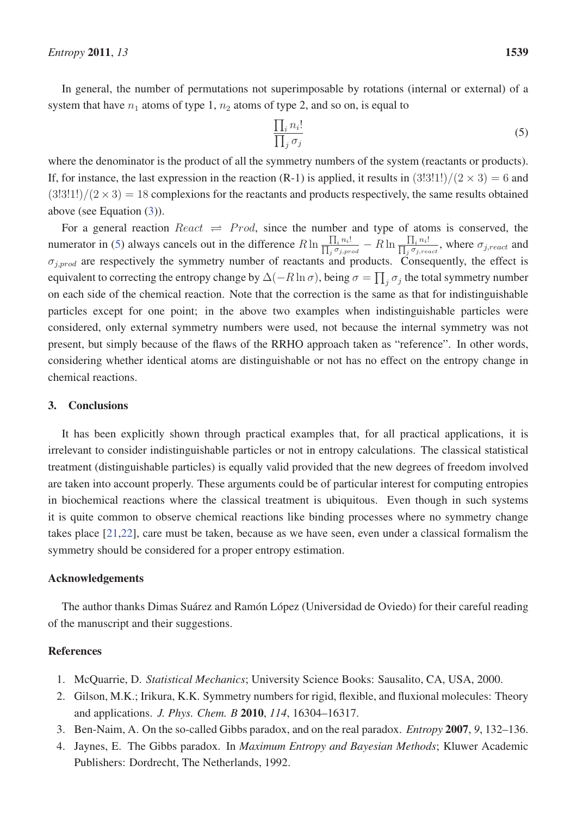In general, the number of permutations not superimposable by rotations (internal or external) of a system that have  $n_1$  atoms of type 1,  $n_2$  atoms of type 2, and so on, is equal to

$$
\frac{\prod_{i} n_i!}{\prod_{j} \sigma_j} \tag{5}
$$

where the denominator is the product of all the symmetry numbers of the system (reactants or products). If, for instance, the last expression in the reaction (R-1) is applied, it results in  $(3!3!1!)/(2 \times 3) = 6$  and  $(3!3!1!)/(2 \times 3) = 18$  complexions for the reactants and products respectively, the same results obtained above (see Equation (3)).

For a general reaction  $Reach \rightleftharpoons Prod$ , since the number and type of atoms is conserved, the numerator in (5) always cancels out in the difference  $R \ln \frac{\prod_i n_i}{\prod_i \sigma_i}$  $\frac{\prod_i n_i!}{\prod_j \sigma_{j,prod}} - R \ln \frac{\prod_i n_i!}{\prod_j \sigma_{j,red}}$  $\frac{\prod_i n_i!}{\prod_j \sigma_{j,react}}$ , where  $\sigma_{j,react}$  and  $\sigma_{j,prod}$  are respectively the symmetry number of reactants and products. Consequently, the effect is equivalent to correcting the entropy change by  $\Delta(-R \ln \sigma)$ , being  $\sigma = \prod_j \sigma_j$  the total symmetry number on each side of the chemical reaction. Note that the correction is the same as that for indistinguishable particles except for one point; in the above two examples when indistinguishable particles were considered, only external symmetry numbers were used, not because the internal symmetry was not present, but simply because of the flaws of the RRHO approach taken as "reference". In other words, considering whether identical atoms are distinguishable or not has no effect on the entropy change in chemical reactions.

### 3. Conclusions

It has been explicitly shown through practical examples that, for all practical applications, it is irrelevant to consider indistinguishable particles or not in entropy calculations. The classical statistical treatment (distinguishable particles) is equally valid provided that the new degrees of freedom involved are taken into account properly. These arguments could be of particular interest for computing entropies in biochemical reactions where the classical treatment is ubiquitous. Even though in such systems it is quite common to observe chemical reactions like binding processes where no symmetry change takes place [21,22], care must be taken, because as we have seen, even under a classical formalism the symmetry should be considered for a proper entropy estimation.

### Acknowledgements

The author thanks Dimas Suárez and Ramón López (Universidad de Oviedo) for their careful reading of the manuscript and their suggestions.

## References

- 1. McQuarrie, D. *Statistical Mechanics*; University Science Books: Sausalito, CA, USA, 2000.
- 2. Gilson, M.K.; Irikura, K.K. Symmetry numbers for rigid, flexible, and fluxional molecules: Theory and applications. *J. Phys. Chem. B* 2010, *114*, 16304–16317.
- 3. Ben-Naim, A. On the so-called Gibbs paradox, and on the real paradox. *Entropy* 2007, *9*, 132–136.
- 4. Jaynes, E. The Gibbs paradox. In *Maximum Entropy and Bayesian Methods*; Kluwer Academic Publishers: Dordrecht, The Netherlands, 1992.